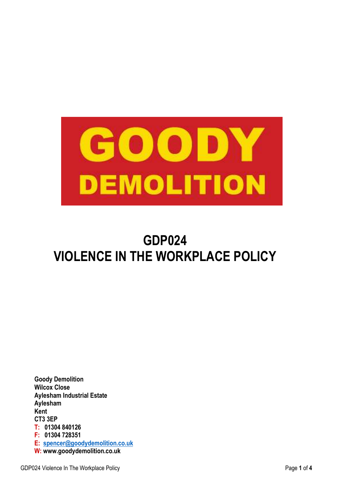

# **GDP024 VIOLENCE IN THE WORKPLACE POLICY**

**Goody Demolition Wilcox Close Aylesham Industrial Estate Aylesham Kent CT3 3EP T: 01304 840126 F: 01304 728351 E: spencer@goodydemolition.co.uk W: www.goodydemolition.co.uk**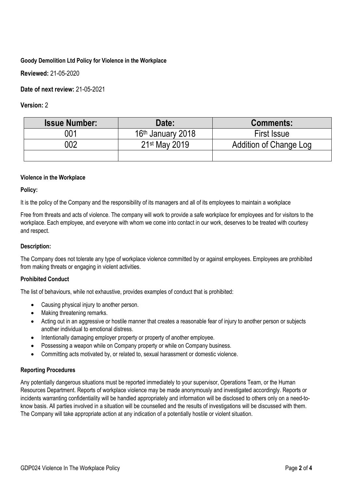# **Goody Demolition Ltd Policy for Violence in the Workplace**

**Reviewed:** 21-05-2020

**Date of next review:** 21-05-2021

# **Version:** 2

| <b>Issue Number:</b> | Date:                         | <b>Comments:</b>       |
|----------------------|-------------------------------|------------------------|
| 001                  | 16 <sup>th</sup> January 2018 | <b>First Issue</b>     |
| 002                  | 21 <sup>st</sup> May 2019     | Addition of Change Log |
|                      |                               |                        |

## **Violence in the Workplace**

## **Policy:**

It is the policy of the Company and the responsibility of its managers and all of its employees to maintain a workplace

Free from threats and acts of violence. The company will work to provide a safe workplace for employees and for visitors to the workplace. Each employee, and everyone with whom we come into contact in our work, deserves to be treated with courtesy and respect.

## **Description:**

The Company does not tolerate any type of workplace violence committed by or against employees. Employees are prohibited from making threats or engaging in violent activities.

## **Prohibited Conduct**

The list of behaviours, while not exhaustive, provides examples of conduct that is prohibited:

- Causing physical injury to another person.
- Making threatening remarks.
- Acting out in an aggressive or hostile manner that creates a reasonable fear of injury to another person or subjects another individual to emotional distress.
- Intentionally damaging employer property or property of another employee.
- Possessing a weapon while on Company property or while on Company business.
- Committing acts motivated by, or related to, sexual harassment or domestic violence.

## **Reporting Procedures**

Any potentially dangerous situations must be reported immediately to your supervisor, Operations Team, or the Human Resources Department. Reports of workplace violence may be made anonymously and investigated accordingly. Reports or incidents warranting confidentiality will be handled appropriately and information will be disclosed to others only on a need-toknow basis. All parties involved in a situation will be counselled and the results of investigations will be discussed with them. The Company will take appropriate action at any indication of a potentially hostile or violent situation.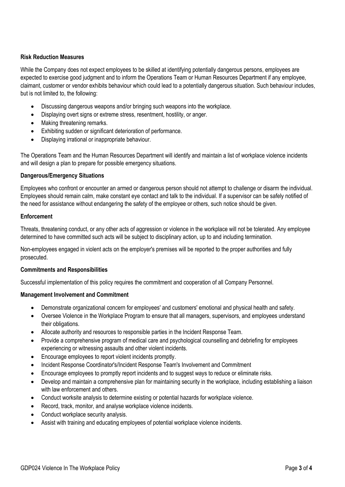#### **Risk Reduction Measures**

While the Company does not expect employees to be skilled at identifying potentially dangerous persons, employees are expected to exercise good judgment and to inform the Operations Team or Human Resources Department if any employee, claimant, customer or vendor exhibits behaviour which could lead to a potentially dangerous situation. Such behaviour includes, but is not limited to, the following:

- Discussing dangerous weapons and/or bringing such weapons into the workplace.
- Displaying overt signs or extreme stress, resentment, hostility, or anger.
- Making threatening remarks.
- Exhibiting sudden or significant deterioration of performance.
- Displaying irrational or inappropriate behaviour.

The Operations Team and the Human Resources Department will identify and maintain a list of workplace violence incidents and will design a plan to prepare for possible emergency situations.

#### **Dangerous/Emergency Situations**

Employees who confront or encounter an armed or dangerous person should not attempt to challenge or disarm the individual. Employees should remain calm, make constant eye contact and talk to the individual. If a supervisor can be safely notified of the need for assistance without endangering the safety of the employee or others, such notice should be given.

#### **Enforcement**

Threats, threatening conduct, or any other acts of aggression or violence in the workplace will not be tolerated. Any employee determined to have committed such acts will be subject to disciplinary action, up to and including termination.

Non-employees engaged in violent acts on the employer's premises will be reported to the proper authorities and fully prosecuted.

#### **Commitments and Responsibilities**

Successful implementation of this policy requires the commitment and cooperation of all Company Personnel.

#### **Management Involvement and Commitment**

- Demonstrate organizational concern for employees' and customers' emotional and physical health and safety.
- Oversee Violence in the Workplace Program to ensure that all managers, supervisors, and employees understand their obligations.
- Allocate authority and resources to responsible parties in the Incident Response Team.
- Provide a comprehensive program of medical care and psychological counselling and debriefing for employees experiencing or witnessing assaults and other violent incidents.
- Encourage employees to report violent incidents promptly.
- Incident Response Coordinator's/Incident Response Team's Involvement and Commitment
- Encourage employees to promptly report incidents and to suggest ways to reduce or eliminate risks.
- Develop and maintain a comprehensive plan for maintaining security in the workplace, including establishing a liaison with law enforcement and others.
- Conduct worksite analysis to determine existing or potential hazards for workplace violence.
- Record, track, monitor, and analyse workplace violence incidents.
- Conduct workplace security analysis.
- Assist with training and educating employees of potential workplace violence incidents.